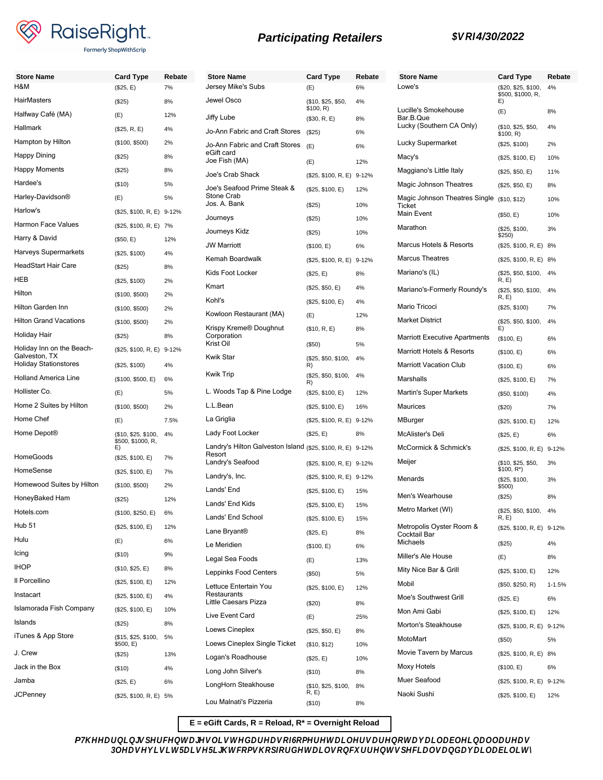

**Formerly ShopWithScrip** 

| <b>Store Name</b>                          | <b>Card Type</b>                               | Rebate    |
|--------------------------------------------|------------------------------------------------|-----------|
| H&M                                        | (\$25, E)                                      | 7%        |
| <b>HairMasters</b>                         | (\$25)                                         | 8%        |
| Halfway Café (MA)                          | (E)                                            | 12%       |
| Hallmark                                   | (\$25, R, E)                                   | 4%        |
| Hampton by Hilton                          | (\$100, \$500)                                 | 2%        |
| Happy Dining                               | (S25)                                          | 8%        |
| Happy Moments                              | (\$25)                                         | 8%        |
| Hardee's                                   | (\$10)                                         | 5%        |
| Harley-Davidson®                           | (E)                                            | 5%        |
| Harlow's                                   | (\$25, \$100, R, E)                            | $9 - 12%$ |
| Harmon Face Values                         | (\$25, \$100, R, E)                            | 7%        |
| Harry & David                              | (\$50, E)                                      | 12%       |
| <b>Harveys Supermarkets</b>                | (\$25, \$100)                                  | 4%        |
| HeadStart Hair Care                        | (\$25)                                         | 8%        |
| <b>HEB</b>                                 | (\$25, \$100)                                  | 2%        |
| Hilton                                     | (\$100, \$500)                                 | 2%        |
| Hilton Garden Inn                          | (\$100, \$500)                                 | 2%        |
| <b>Hilton Grand Vacations</b>              | (\$100, \$500)                                 | 2%        |
| Holiday Hair                               | (\$25)                                         | 8%        |
| Holiday Inn on the Beach-<br>Galveston, TX | (\$25, \$100, R, E)                            | $9 - 12%$ |
| <b>Holiday Stationstores</b>               | (\$25, \$100)                                  | 4%        |
| <b>Holland America Line</b>                | (\$100, \$500, E)                              | 6%        |
| Hollister Co.                              | (E)                                            | 5%        |
| Home 2 Suites by Hilton                    | (\$100, \$500)                                 | 2%        |
| Home Chef                                  | (E)                                            | 7.5%      |
| Home Depot®                                | (\$10, \$25, \$100,<br>\$500, \$1000, R,<br>E) | 4%        |
| HomeGoods                                  | (\$25, \$100, E)                               | 7%        |
| HomeSense                                  | (\$25, \$100, E)                               | 7%        |
| Homewood Suites by Hilton                  | (\$100, \$500)                                 | 2%        |
| HoneyBaked Ham                             | (\$25)                                         | 12%       |
| Hotels.com                                 | (\$100, \$250, E)                              | 6%        |
| Hub <sub>51</sub>                          | (\$25, \$100, E)                               | 12%       |
| Hulu                                       | (E)                                            | 6%        |
| Icing                                      | (\$10)                                         | 9%        |
| IHOP                                       | (\$10, \$25, E)                                | 8%        |
| Il Porcellino                              | (\$25, \$100, E)                               | 12%       |
| Instacart                                  | (\$25, \$100, E)                               | 4%        |
| Islamorada Fish Company                    | (\$25, \$100, E)                               | 10%       |
| Islands                                    | (\$25)                                         | 8%        |
| iTunes & App Store                         | (\$15, \$25, \$100,<br>\$500, E)               | 5%        |
| J. Crew                                    | (\$25)                                         | 13%       |
| Jack in the Box                            | (\$10)                                         | 4%        |
| Jamba                                      | (\$25, E)                                      | 6%        |
| JCPenney                                   | (\$25, \$100, R, E)                            | 5%        |

| <b>Participating Retailers</b> |  |
|--------------------------------|--|
|--------------------------------|--|

### **Participating Retailers \$VRI4/30/2022**

| Store Name                                                 | Card Type                       | Rebate     |
|------------------------------------------------------------|---------------------------------|------------|
| Jersey Mike's Subs                                         | (E)                             | 6%         |
| Jewel Osco                                                 | (\$10, \$25, \$50,<br>\$100, R) | 4%         |
| Jiffy Lube                                                 | (\$30, R, E)                    | 8%         |
| Jo-Ann Fabric and Craft Stores                             | (\$25)                          | 6%         |
| Jo-Ann Fabric and Craft Stores<br>eGift card               | (E)                             | 6%         |
| Joe Fish (MA)                                              | (E)                             | 12%        |
| Joe's Crab Shack                                           | (\$25, \$100, R, E)             | 9-12%      |
| Joe's Seafood Prime Steak &<br>Stone Crab<br>Jos. A. Bank  | (\$25, \$100, E)<br>(S25)       | 12%<br>10% |
| Journeys                                                   | (S25)                           | 10%        |
| Journeys Kidz                                              | (\$25)                          | 10%        |
| <b>JW Marriott</b>                                         | (\$100, E)                      | 6%         |
| Kemah Boardwalk                                            | (\$25, \$100, R, E)             | $9 - 12%$  |
| Kids Foot Locker                                           | (\$25, E)                       | 8%         |
| Kmart                                                      | (\$25, \$50, E)                 | 4%         |
| Kohl's                                                     | (\$25, \$100, E)                | 4%         |
| Kowloon Restaurant (MA)                                    |                                 |            |
|                                                            | (E)                             | 12%        |
| Krispy Kreme® Doughnut<br>Corporation<br>Krist Oil         | (\$10, R, E)<br>$($ \$50)       | 8%<br>5%   |
| <b>Kwik Star</b>                                           | (\$25, \$50, \$100,             | 4%         |
| Kwik Trip                                                  | R)<br>(\$25, \$50, \$100,       | 4%         |
| L. Woods Tap & Pine Lodge                                  | R)<br>(\$25, \$100, E)          | 12%        |
| L.L.Bean                                                   | (\$25, \$100, E)                | 16%        |
| La Griglia                                                 | (\$25, \$100, R, E)             | 9-12%      |
| Lady Foot Locker                                           | (\$25, E)                       | 8%         |
| Landry's Hilton Galveston Island (\$25, \$100, R, E) 9-12% |                                 |            |
| Resort<br>Landry's Seafood                                 | (\$25, \$100, R, E)             | $9 - 12%$  |
| Landry's, Inc.                                             | (\$25, \$100, R, E)             | $9 - 12%$  |
| Lands' End                                                 | (\$25, \$100, E)                | 15%        |
| Lands' End Kids                                            | (\$25, \$100, E)                | 15%        |
| Lands' End School                                          | (\$25, \$100, E)                | 15%        |
| Lane Bryant <sup>®</sup>                                   | (\$25, E)                       | 8%         |
| Le Meridien                                                | (\$100, E)                      | 6%         |
| Legal Sea Foods                                            | (E)                             | 13%        |
| Leppinks Food Centers                                      | (\$50)                          | 5%         |
| Lettuce Entertain You                                      | (\$25, \$100, E)                | 12%        |
| Restaurants<br>Little Caesars Pizza                        | (\$20)                          | 8%         |
| Live Event Card                                            | (E)                             | 25%        |
| Loews Cineplex                                             | (\$25, \$50, E)                 | 8%         |
| Loews Cineplex Single Ticket                               | (\$10, \$12)                    | 10%        |
| Logan's Roadhouse                                          | (\$25, E)                       | 10%        |
| Long John Silver's                                         | (\$10)                          | 8%         |
| LongHorn Steakhouse                                        | (\$10, \$25, \$100,             | 8%         |
| Lou Malnati's Pizzeria                                     | R, E<br>(\$10)                  | 8%         |

| <b>Store Name</b>                        | <b>Card Type</b>                               | Rebate     |
|------------------------------------------|------------------------------------------------|------------|
| Lowe's                                   | (\$20, \$25, \$100,<br>\$500, \$1000, R,<br>E) | 4%         |
| Lucille's Smokehouse<br>Bar.B.Que        | (E)                                            | 8%         |
| Lucky (Southern CA Only)                 | (\$10, \$25, \$50,<br>\$100, R)                | 4%         |
| Lucky Supermarket                        | (\$25, \$100)                                  | 2%         |
| Macy's                                   | (\$25, \$100, E)                               | 10%        |
| Maggiano's Little Italy                  | (\$25, \$50, E)                                | 11%        |
| Magic Johnson Theatres                   | (\$25, \$50, E)                                | 8%         |
| Magic Johnson Theatres Single<br>Ticket  | (\$10, \$12)                                   | 10%        |
| Main Event                               | (\$50, E)                                      | 10%        |
| Marathon                                 | (\$25, \$100,<br>\$250)                        | 3%         |
| Marcus Hotels & Resorts                  | (\$25, \$100, R, E)                            | 8%         |
| <b>Marcus Theatres</b>                   | (\$25, \$100, R, E)                            | 8%         |
| Mariano's (IL)                           | (\$25, \$50, \$100,<br>R, E                    | 4%         |
| Mariano's-Formerly Roundy's              | (\$25, \$50, \$100,<br>R, E)                   | 4%         |
| Mario Tricoci                            | (\$25, \$100)                                  | 7%         |
| Market District                          | (\$25, \$50, \$100,<br>E)                      | 4%         |
| <b>Marriott Executive Apartments</b>     | (\$100, E)                                     | 6%         |
| Marriott Hotels & Resorts                | (\$100, E)                                     | 6%         |
| <b>Marriott Vacation Club</b>            | (\$100, E)                                     | 6%         |
| Marshalls                                | (\$25, \$100, E)                               | 7%         |
| Martin's Super Markets                   | (\$50, \$100)                                  | 4%         |
| Maurices                                 | (\$20)                                         | 7%         |
| MBurger                                  | (\$25, \$100, E)                               | 12%        |
| McAlister's Deli                         | (\$25, E)                                      | 6%         |
| McCormick & Schmick's                    | (\$25, \$100, R, E)                            | $9 - 12%$  |
| Meijer                                   | (\$10, \$25, \$50,<br>$$100, R^*$              | 3%         |
| Menards                                  | (\$25, \$100,<br>\$500)                        | 3%         |
| Men's Wearhouse                          | (\$25)                                         | 8%         |
| Metro Market (WI)                        | (\$25, \$50, \$100,<br>R, E)                   | 4%         |
| Metropolis Oyster Room &<br>Cocktail Bar | (\$25, \$100, R, E) 9-12%                      |            |
| Michaels                                 | (\$25)                                         | 4%         |
| Miller's Ale House                       | (E)                                            | 8%         |
| Mity Nice Bar & Grill                    | (\$25, \$100, E)                               | 12%        |
| Mobil                                    | (\$50, \$250, R)                               | $1 - 1.5%$ |
| Moe's Southwest Grill                    | (\$25, E)                                      | 6%         |
| Mon Ami Gabi                             | (\$25, \$100, E)                               | 12%        |
| Morton's Steakhouse                      | (\$25, \$100, R, E) 9-12%                      |            |
| MotoMart                                 | (\$50)                                         | 5%         |
| Movie Tavern by Marcus                   | (\$25, \$100, R, E) 8%                         |            |
| Moxy Hotels                              | (\$100, E)                                     | 6%         |
| Muer Seafood                             | (\$25, \$100, R, E) 9-12%                      |            |
| Naoki Sushi                              | (\$25, \$100, E)                               | 12%        |
|                                          |                                                |            |

**E = eGift Cards, R = Reload, R\* = Overnight Reload**

P7KH HDUQLQJV SHUFHQWDJHV OLVWHG DUH DV RIGRPH UHWDLOHUV I 3OHDVH YLVLW 5DLVH5LJKW FRP VKRS IRU GHWDLOV RQ FXUUHQW VSHFL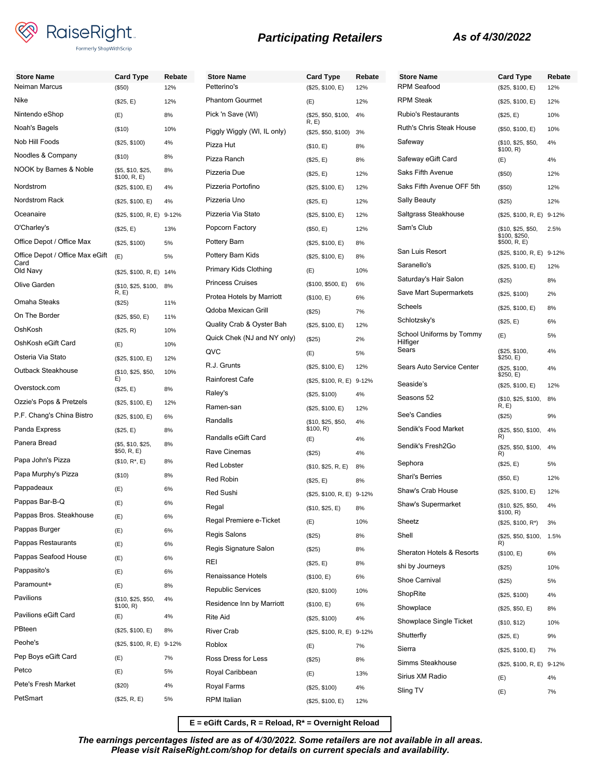

## **Participating Retailers** *As of* **4/30/2022**

| <b>Store Name</b>                       | <b>Card Type</b>                  | Rebate | <b>Store Name</b>           | <b>Card Type</b>            | Rebate |
|-----------------------------------------|-----------------------------------|--------|-----------------------------|-----------------------------|--------|
| Neiman Marcus                           | (\$50)                            | 12%    | Petterino's                 | (\$25, \$100, E)            | 12%    |
| Nike                                    | (\$25, E)                         | 12%    | <b>Phantom Gourmet</b>      | (E)                         | 12%    |
| Nintendo eShop                          | (E)                               | 8%     | Pick 'n Save (WI)           | (\$25, \$50, \$100,<br>R, E | 4%     |
| Noah's Bagels                           | (\$10)                            | 10%    | Piggly Wiggly (WI, IL only) | (\$25, \$50, \$100)         | 3%     |
| Nob Hill Foods                          | (\$25, \$100)                     | 4%     | Pizza Hut                   | (\$10, E)                   | 8%     |
| Noodles & Company                       | $($ \$10)                         | 8%     | Pizza Ranch                 | (\$25, E)                   | 8%     |
| NOOK by Barnes & Noble                  | (\$5, \$10, \$25,<br>\$100, R, E) | 8%     | Pizzeria Due                | (\$25, E)                   | 12%    |
| Nordstrom                               | (\$25, \$100, E)                  | 4%     | Pizzeria Portofino          | (\$25, \$100, E)            | 12%    |
| Nordstrom Rack                          | (\$25, \$100, E)                  | 4%     | Pizzeria Uno                | (\$25, E)                   | 12%    |
| Oceanaire                               | (\$25, \$100, R, E) 9-12%         |        | Pizzeria Via Stato          | (\$25, \$100, E)            | 12%    |
| O'Charley's                             | (\$25, E)                         | 13%    | Popcorn Factory             | (\$50, E)                   | 12%    |
| Office Depot / Office Max               | (\$25, \$100)                     | 5%     | Pottery Barn                | (\$25, \$100, E)            | 8%     |
| Office Depot / Office Max eGift<br>Card | (E)                               | 5%     | Pottery Barn Kids           | (\$25, \$100, E)            | 8%     |
| Old Navy                                | (\$25, \$100, R, E) 14%           |        | Primary Kids Clothing       | (E)                         | 10%    |
| Olive Garden                            | (\$10, \$25, \$100,               | 8%     | <b>Princess Cruises</b>     | (\$100, \$500, E)           | 6%     |
| Omaha Steaks                            | R, E)<br>(\$25)                   | 11%    | Protea Hotels by Marriott   | (\$100, E)                  | 6%     |
| On The Border                           | (\$25, \$50, E)                   | 11%    | Qdoba Mexican Grill         | (\$25)                      | 7%     |
| OshKosh                                 | (\$25, R)                         | 10%    | Quality Crab & Oyster Bah   | (\$25, \$100, E)            | 12%    |
| OshKosh eGift Card                      | (E)                               | 10%    | Quick Chek (NJ and NY only) | (\$25)                      | 2%     |
| Osteria Via Stato                       | (\$25, \$100, E)                  | 12%    | QVC                         | (E)                         | 5%     |
| Outback Steakhouse                      | (\$10, \$25, \$50,                | 10%    | R.J. Grunts                 | (\$25, \$100, E)            | 12%    |
|                                         | E)                                |        | <b>Rainforest Cafe</b>      | (\$25, \$100, R, E) 9-12%   |        |
| Overstock.com                           | (\$25, E)                         | 8%     | Raley's                     | (\$25, \$100)               | 4%     |
| Ozzie's Pops & Pretzels                 | (\$25, \$100, E)                  | 12%    | Ramen-san                   | (\$25, \$100, E)            | 12%    |
| P.F. Chang's China Bistro               | (\$25, \$100, E)                  | 6%     | Randalls                    | (\$10, \$25, \$50,          | 4%     |
| Panda Express                           | (\$25, E)                         | 8%     | Randalls eGift Card         | \$100, R)<br>(E)            | 4%     |
| Panera Bread                            | (\$5, \$10, \$25,<br>\$50, R, E)  | 8%     | Rave Cinemas                | (\$25)                      | 4%     |
| Papa John's Pizza                       | $($10, R^*, E)$                   | 8%     | <b>Red Lobster</b>          | (\$10, \$25, R, E)          | 8%     |
| Papa Murphy's Pizza                     | (\$10)                            | 8%     | <b>Red Robin</b>            | (\$25, E)                   | 8%     |
| Pappadeaux                              | (E)                               | 6%     | Red Sushi                   | (\$25, \$100, R, E) 9-12%   |        |
| Pappas Bar-B-Q                          | (E)                               | 6%     | Regal                       |                             | 8%     |
| Pappas Bros. Steakhouse                 | (E)                               | 6%     | Regal Premiere e-Ticket     | (\$10, \$25, E)             |        |
| Pappas Burger                           | (E)                               | 6%     | Regis Salons                | (E)                         | 10%    |
| Pappas Restaurants                      | (E)                               | 6%     | Regis Signature Salon       | (\$25)                      | 8%     |
| Pappas Seafood House                    | (E)                               | 6%     | REI                         | (\$25)                      | 8%     |
| Pappasito's                             | (E)                               | 6%     | Renaissance Hotels          | (\$25, E)                   | 8%     |
| Paramount+                              | (E)                               | 8%     | <b>Republic Services</b>    | (\$100, E)                  | 6%     |
| Pavilions                               | (\$10, \$25, \$50,                | 4%     |                             | (\$20, \$100)               | 10%    |
| Pavilions eGift Card                    | \$100, R)                         | 4%     | Residence Inn by Marriott   | (\$100, E)                  | 6%     |
| PBteen                                  | (E)<br>(\$25, \$100, E)           | 8%     | <b>Rite Aid</b>             | (\$25, \$100)               | 4%     |
| Peohe's                                 |                                   |        | <b>River Crab</b>           | (\$25, \$100, R, E) 9-12%   |        |
| Pep Boys eGift Card                     | (\$25, \$100, R, E) 9-12%         |        | Roblox                      | (E)                         | 7%     |
| Petco                                   | (E)                               | 7%     | Ross Dress for Less         | (\$25)                      | 8%     |
|                                         | (E)                               | 5%     | Royal Caribbean             | (E)                         | 13%    |
| Pete's Fresh Market                     | $(\$20)$                          | 4%     | Royal Farms                 | (\$25, \$100)               | 4%     |
| PetSmart                                | (\$25, R, E)                      | 5%     | RPM Italian                 | (\$25, \$100, E)            | 12%    |

| <b>Store Name</b><br><b>RPM Seafood</b> | Card Type                                           | Rebate    |
|-----------------------------------------|-----------------------------------------------------|-----------|
| <b>RPM Steak</b>                        | (\$25, \$100, E)                                    | 12%       |
|                                         | (\$25, \$100, E)                                    | 12%       |
| <b>Rubio's Restaurants</b>              | (\$25, E)                                           | 10%       |
| Ruth's Chris Steak House                | (\$50, \$100, E)                                    | 10%       |
| Safeway                                 | (\$10, \$25, \$50,<br>\$100, R)                     | 4%        |
| Safeway eGift Card                      | (E)                                                 | 4%        |
| Saks Fifth Avenue                       | $(\$50)$                                            | 12%       |
| Saks Fifth Avenue OFF 5th               | $($ \$50)                                           | 12%       |
| Sally Beauty                            | $(\$25)$                                            | 12%       |
| Saltgrass Steakhouse                    | (\$25, \$100, R, E)                                 | $9 - 12%$ |
| Sam's Club                              | (\$10, \$25, \$50,<br>\$100, \$250,<br>\$500, R, E) | 2.5%      |
| San Luis Resort                         | (\$25, \$100, R, E)                                 | $9 - 12%$ |
| Saranello's                             | (\$25, \$100, E)                                    | 12%       |
| Saturday's Hair Salon                   | (\$25)                                              | 8%        |
| Save Mart Supermarkets                  | (\$25, \$100)                                       | 2%        |
| Scheels                                 | (\$25, \$100, E)                                    | 8%        |
| Schlotzsky's                            | (\$25, E)                                           | 6%        |
| School Uniforms by Tommy<br>Hilfiger    | (E)                                                 | 5%        |
| Sears                                   | (\$25, \$100,<br>\$250, E)                          | 4%        |
| Sears Auto Service Center               | (\$25, \$100,<br>\$250, E)                          | 4%        |
| Seaside's                               | (\$25, \$100, E)                                    | 12%       |
| Seasons 52                              | (\$10, \$25, \$100,<br>R, E)                        | 8%        |
| See's Candies                           | (\$25)                                              | 9%        |
| Sendik's Food Market                    | (\$25, \$50, \$100,<br>R)                           | 4%        |
| Sendik's Fresh2Go                       | (\$25, \$50, \$100,<br>R)                           | 4%        |
| Sephora                                 | (\$25, E)                                           | 5%        |
| <b>Shari's Berries</b>                  | (\$50, E)                                           | 12%       |
| Shaw's Crab House                       | (\$25, \$100, E)                                    | 12%       |
| Shaw's Supermarket                      | (\$10, \$25, \$50,<br>\$100, R)                     | 4%        |
| Sheetz                                  | $($25, $100, R^*)$                                  | 3%        |
| Shell                                   | (\$25, \$50, \$100,<br>R)                           | 1.5%      |
| Sheraton Hotels & Resorts               | (\$100, E)                                          | 6%        |
| shi by Journeys                         | (\$25)                                              | 10%       |
| Shoe Carnival                           | (\$25)                                              | 5%        |
| ShopRite                                | (\$25, \$100)                                       | 4%        |
| Showplace                               | (\$25, \$50, E)                                     | 8%        |
| Showplace Single Ticket                 | (\$10, \$12)                                        | 10%       |
| Shutterfly                              | (\$25, E)                                           | 9%        |
| Sierra                                  | (\$25, \$100, E)                                    | 7%        |
| Simms Steakhouse                        | (\$25, \$100, R, E)                                 | $9 - 12%$ |
| Sirius XM Radio                         | (E)                                                 | 4%        |
| Sling TV                                | (E)                                                 | 7%        |

**E = eGift Cards, R = Reload, R\* = Overnight Reload**

*The earnings percentages listed are as of 4/30/2022. Some retailers are not available in all areas. Please visit RaiseRight.com/shop for details on current specials and availability.*